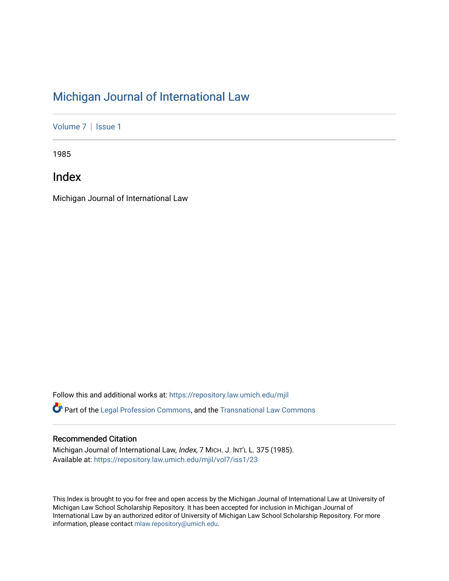# [Michigan Journal of International Law](https://repository.law.umich.edu/mjil)

[Volume 7](https://repository.law.umich.edu/mjil/vol7) | Issue 1

1985

Index

Michigan Journal of International Law

Follow this and additional works at: [https://repository.law.umich.edu/mjil](https://repository.law.umich.edu/mjil?utm_source=repository.law.umich.edu%2Fmjil%2Fvol7%2Fiss1%2F23&utm_medium=PDF&utm_campaign=PDFCoverPages)  Part of the [Legal Profession Commons](http://network.bepress.com/hgg/discipline/1075?utm_source=repository.law.umich.edu%2Fmjil%2Fvol7%2Fiss1%2F23&utm_medium=PDF&utm_campaign=PDFCoverPages), and the [Transnational Law Commons](http://network.bepress.com/hgg/discipline/1123?utm_source=repository.law.umich.edu%2Fmjil%2Fvol7%2Fiss1%2F23&utm_medium=PDF&utm_campaign=PDFCoverPages)

## Recommended Citation

Michigan Journal of International Law, Index, 7 MICH. J. INT'L L. 375 (1985). Available at: [https://repository.law.umich.edu/mjil/vol7/iss1/23](https://repository.law.umich.edu/mjil/vol7/iss1/23?utm_source=repository.law.umich.edu%2Fmjil%2Fvol7%2Fiss1%2F23&utm_medium=PDF&utm_campaign=PDFCoverPages) 

This Index is brought to you for free and open access by the Michigan Journal of International Law at University of Michigan Law School Scholarship Repository. It has been accepted for inclusion in Michigan Journal of International Law by an authorized editor of University of Michigan Law School Scholarship Repository. For more information, please contact [mlaw.repository@umich.edu](mailto:mlaw.repository@umich.edu).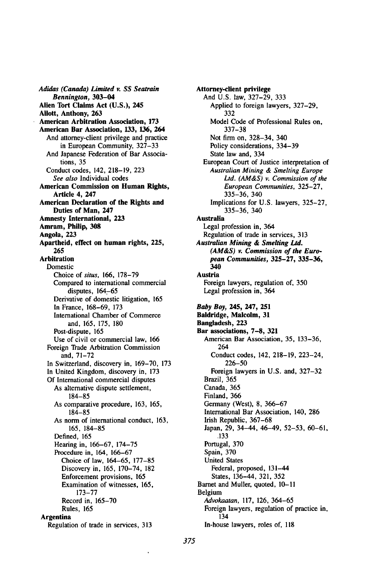*Adidas (Canada) Limited v. SS Seatrain* Bennington, **303-04** Alien Tort Claims Act **(U.S.),** 245 Ailott, Anthony, **263** American Arbitration Association, **173** American Bar Association, **133, 136,** 264 And attorney-client privilege and practice in European Community, **327-33** And Japanese Federation of Bar Associations, **35** Conduct codes, 142, **218-19, 223** *See also* Individual codes American Commission on Human Rights, Article 4, 247 American Declaration of the Rights and Duties of Man, 247 Amnesty International, **223** Amram, Philip, **308** Angola, **223** Apartheid, effect on human rights, **225, 265** Arbitration Domestic Choice of *situs,* **166, 178-79** Compared to international commercial disputes, 164-65 Derivative of domestic litigation, **165** In France, **168-69, 173** International Chamber of Commerce and, **165, 175, 180** Post-dispute, **165** Use of civil or commercial law, **166** Foreign Trade Arbitration Commission and, **71-72** In Switzerland, discovery in, **169-70, 173** In United Kingdom, discovery in, **173 Of** International commercial disputes As alternative dispute settlement, **184-85** As comparative procedure, **163, 165, 184-85** As norm of international conduct, **163, 165, 184-85** Defined, **165** Hearing in, **166-67, 174-75** Procedure in, 164, **166-67** Choice of law, 164-65, 177-85 Discovery in, 165, 170-74, 182 Enforcement provisions, 165 Examination of witnesses, 165, 173-77 Record in, 165-70 Rules, 165 Argentina Regulation of trade in services, 313

Attorney-client privilege And **U.S.** law, 327-29, 333 Applied to foreign lawyers, **327-29, 332** Model Code of Professional Rules on, **337-38** Not firm on, **328-34,** 340 Policy considerations, **334-39** State law and, 334 European Court of Justice interpretation of *Australian Mining & Smelting Europe* Ltd. **(AM&S)** v. Commission *of the European Communities,* **325-27, 335-36,** 340 Implications for **U.S.** lawyers, **325-27, 335-36,** 340 Australia Legal profession in, 364 Regulation of trade in services, **313** *Australian Mining & Smelting Ltd. (AM&S) v. Commission of the European Communities,* **325-27, 335-36,** 340 Austria Foreign lawyers, regulation of, **350** Legal profession in, 364 Baby Boy, **245, 247, 251 Baldridge, Malcolm, 31 Bangladesh, 223 Bar associations, 7-8, 321** American Bar Association, **35,** 133-36, 264 Conduct codes, 142, **218-19,** 223-24, **226-50** Foreign lawyers in **U.S.** and, **327-32** Brazil, 365 Canada, 365 Finland, 366 Germany (West), **8,** 366-67 International Bar Association, 140, **286** Irish Republic, **367-68** Japan, **29,** 34-44, 46-49, 52-53, **60-61,** .133 Portugal, **370** Spain, **370** United States Federal, proposed, 131-44 States, 136-44, **321, 352** Barnet and Muller, quoted, **10-11** Belgium *Advokaatan,* **117, 126,** 364-65 Foreign lawyers, regulation of practice in, 134 In-house lawyers, roles of, **118**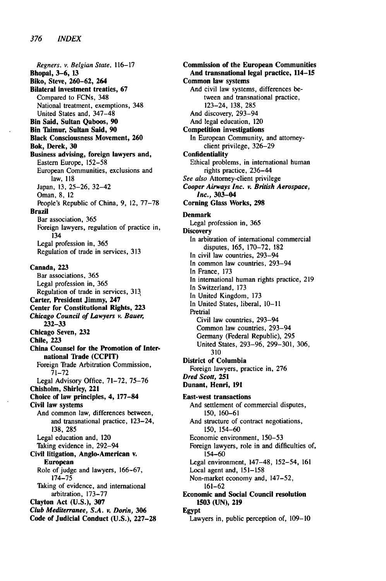Regners. v. Belgian State, 116-17 **Bhopal, 3-6, 13 Biko, Steve, 260-62, 264 Bilateral investment treaties, 67** Compared to FCNs, 348 National treatment, exemptions, 348 United States and, 347-48 **Bin Said, Sultan Qaboos, 90 Bin Thimur, Sultan Said, 90 Black Consciousness Movement, 260 Bok, Derek, 30 Business advising, foreign lawyers and,** Eastern Europe, **152-58** European Communities, exclusions and law, **118** Japan, **13, 25-26,** 32-42 Oman, **8,** 12 People's Republic of China, **9,** 12, **77-78 Brazil** Bar association, **365** Foreign lawyers, regulation of practice in, 134 Legal profession in, **365** Regulation of trade in services, **313 Canada, 223** Bar associations, **365** Legal profession in, **365** Regulation of trade in services, **313 Carter, President Jimmy, 247 Center for Constitutional Rights, 223** *Chicago* Council of Lawyers v. Bauer, **232-33 Chicago Seven, 232 Chile, 223 China Counsel for the Promotion of International Trade (CCPIT)** Foreign **Trade** Arbitration Commission, **71-72** Legal Advisory Office, **71-72, 75-76 Chisholm, Shirley, 221 Choice of law principles, 4, 177-84 Civil law systems** And common law, differences between, and transnational practice, 123-24, **138, 285** Legal education and, 120 Taking evidence in, 292-94 **Civil litigation, Anglo-American v. European** Role of judge and lawyers, **166-67, 174-75** Taking of evidence, and international arbitration, **173-77 Clayton Act (U.S.), 307** *Club Mediterranee,* **S.A.** v. Dorin, *306* **Code of Judicial Conduct (U.S.), 227-28**

**Commission of the European Communities And transnational legal practice, 114-15 Common law systems** And civil law systems, differences between and transnational practice, 123-24, **138, 285** And discovery, 293-94 And legal education, 120 Competition investigations In European Community, and attorneyclient privilege, **326-29 Confidentiality** Ethical problems, in international human rights practice, 236-44 *See* also Attorney-client privilege *Cooper Airways Inc. v.* British *Aerospace,* Inc., **303-04 Corning Glass Works, 298 Denmark** Legal profession in, **365 Discovery** In arbitration of international commercial disputes, **165, 170-72, 182** In civil law countries, 293-94 In common law countries, 293-94 In France, **173** In international human rights practice, **219** In Switzerland, **173** In United Kingdom, **173** In United States, liberal, **10-11** Pretrial Civil law countries, 293-94 Common law countries, 293-94 Germany (Federal Republic), 295 United States, 293-96, 299-301, 306, 310 **District of Columbia** Foreign lawyers, practice in, **276** Dred Scott, **251 Dunant, Henri, 191 East-west transactions** And settlement of commercial disputes, **150, 160-61** And structure of contract negotiations, **150,** 154-60 Economic environment, **150-53** Foreign lawyers, role in and difficulties of, 154-60 Legal environment, 147-48, 152-54, **161** Local agent and, **151-158** Non-market economy and, 147-52, **161-62 Economic and Social Council resolution 1503 (UN), 219 Egypt** Lawyers in, public perception of, **109-10**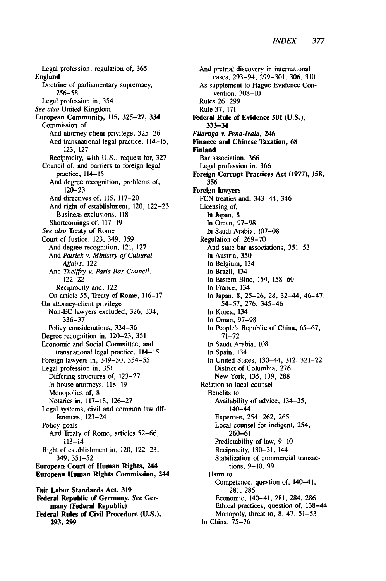Legal profession, regulation of, **365 England** Doctrine of parliamentary supremacy, **256-58** Legal profession in, 354 *See also* United Kingdon **European Community, 115, 325-27, 334** Commission of And attorney-client privilege, **325-26** And transnational legal practice, 114-15, **123, 127** Reciprocity, with **U.S.,** request for, **327** Council of, and barriers to foreign legal practice, 114-15 And degree recognition, problems of, **120-23** And directives of, **115, 117-20** And right of establishment, 120, **122-23** Business exclusions, **<sup>118</sup>** Shortcomings of, **117-19** *See also* Treaty of Rome Court of Justice, **123,** 349, **359** And degree recognition, 121, **127** And Patrick v. Ministry of Cultural *Affairs,* 122 And *Theiffry v. Paris Bar Council,* 122-22 Reciprocity and, 122 On article **55,** Treaty of Rome, **116-17** On attorney-client privilege Non-EC lawyers excluded, **326,** 334, **336-37** Policy considerations, **334-36** Degree recognition in, **120-23, 351** Economic and Social Committee, and transnational legal practice, 114-15 Foreign lawyers in, 349-50, **354-55** Legal profession in, **351** Differing structures of, **123-27** In-house attorneys, **118-19** Monopolies of, **8** Notaries in, **117-18, 126-27** Legal systems, civil and common law differences, 123-24 Policy goals And Treaty of Rome, articles **52-66,** 113-14 Right of establishment in, 120, **122-23,** 349, **351-52 European Court of Human Rights, 244 European Human Rights Commission, 244 Fair Labor Standards Act, 319 Federal Republic of Germany.** *See* **Germany (Federal Republic) Federal Rules of Civil Procedure (U.S.),**

**293, 299**

And pretrial discovery in international cases, 293-94, 299-301, 306, 310 As supplement to Hague Evidence Convention, 308-10 Rules 26, 299 Rule 37, 171 **Federal Rule of Evidence 501 (U.S.), 333-34** *Filartiga v. Pena-Irala, 246* **Finance and Chinese Taxation, 68 Finland Bar association, 366 Legal profession in, 366 Foreign Corrupt Practices Act (1977), 158, 356 Foreign lawyers FCN** treaties and, 343-44, **346** Licensing of, In Japan, **8** In Oman, **97-98** In Saudi Arabia, **107-08** Regulation of, **269-70** And state bar associations, **351-53** In Austria, **350** In Belgium, 134 In Brazil, 134 In Eastern Bloc, 154, **158-60** In France, 134 In Japan, **8, 25-26, 28,** 32-44, 46-47, **54-57, 276,** 345-46 In Korea, 134 In Oman, **97-98** In People's Republic of China, **65-67, 71-72** In Saudi Arabia, **108** In Spain, 134 In United States, 130-44, **312, 321-22** District of Columbia, **276** New York, **135, 139, 288** Relation to local counsel Benefits to Availability of advice, 134-35, 140-44 Expertise, 254, **262, 265** Local counsel for indigent, 254, **260-61** Predictability of law, **9-10** Reciprocity, **130-31,** 144 Stabilization of commercial transactions, **9-10, 99 Harm** to Competence, question of, 140-41, **281, 285** Economic, 140-41, **281,** 284, **286** Ethical practices, question of, 138-44 Monopoly, threat to, **8,** 47, **51-53** In China, **75-76**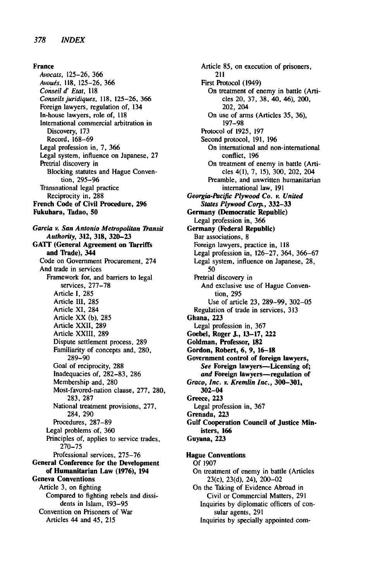France Avocats, 125-26, 366 *Avougs,* **118,** 125-26, 366 *Conseil* d' Etat, *<sup>118</sup>* Conseils *juridiques,* **118,** 125-26, 366 Foreign lawyers, regulation of, 134 In-house lawyers, role of, **<sup>118</sup>** International commercial arbitration in Discovery, **173** Record, 168-69 Legal profession in, 7, **366** Legal system, influence on Japanese, **27** Pretrial discovery in Blocking statutes and Hague Convention, 295-96 Transnational legal practice Reciprocity in, 288 French Code of Civil Procedure, **296** Fukuhara, Tadao, **50** *Garcia* v. San *Antonio Metropolitan Transit Authority,* **312, 318, 320-23 GATT** (General Agreement on Tarriffs and Trade), 344 Code on Government Procurement, 274 And trade in services Framework for, and barriers to legal services, **277-78** Article **1, 285** Article **III, 285** Article XI, 284 Article XX **(b), 285** Article XXII, 289 Article XXIII, **289** Dispute settlement process, **289** Familiarity of concepts and, 280, 289-90 Goal of reciprocity, **288** Inadequacies of, 282-83, 286 Membership and, 280 Most-favored-nation clause, 277, 280, 283, **287** National treatment provisions, 277, 284, 290 Procedures, 287-89 Legal problems of, **360** Principles of, applies to service trades, **270-75** Professional services, 275-76 General Conference for the Development of Humanitarian Law **(1976),** 194 Geneva Conventions Article **3,** on fighting Compared to fighting rebels and dissidents in Islam, 193-95 Convention on Prisoners of War Articles 44 and 45, **215**

Article **85,** on execution of prisoners, 211 First Protocol (1949) On treatment of enemy in battle (Arti**cles** 20, **37, 38,** 40, 46), 200, 202,204 On use of arms (Articles **35, 36), 197-98** Protocol of **1925, 197** Second protocol, **191, 196** On international and non-international conflict, **196** On treatment of enemy in battle (Arti**cles** 4(1), **7, 15), 300,** 202, 204 Preamble, and unwritten humanitarian international law, **191** *Georgia-Pacific Plywood Co. v. United States Plywood Corp.,* **332-33** Germany (Democratic Republic) Legal profession in, **366** Germany (Federal Republic) Bar associations, **8** Foreign lawyers, practice in, **<sup>118</sup>** Legal profession in, **126-27,** 364, **366-67** Legal system, influence on Japanese, **28, 50** Pretrial discovery in And exclusive use of Hague Convention, **295** Use of article **23, 289-99, 302-05** Regulation of trade in services, **313** Ghana, **223** Legal profession in, **367 Goebel,** Roger **J., 13-17,** 222 Goldman, Professor, **182** Gordon, Robert, **6, 9, 16-18** Government control of foreign lawyers, See Foreign lawyers-Licensing of; and Foreign lawyers-regulation of *Graco, Inc. v. Kremlin Inc.,* **300-301,** 302-04 Greece, **223** Legal profession in, **367** Grenada, **223** Gulf Cooperation Council of Justice Ministers, **166** Guyana, **223** Hague Conventions **Of 1907** On treatment of enemy in battle (Articles 23(c), **23(d),** 24), 200-02 On the Taking of Evidence Abroad in Civil or Commercial Matters, **291** Inquiries **by** diplomatic officers of consular agents, **291**

Inquiries **by** specially appointed com-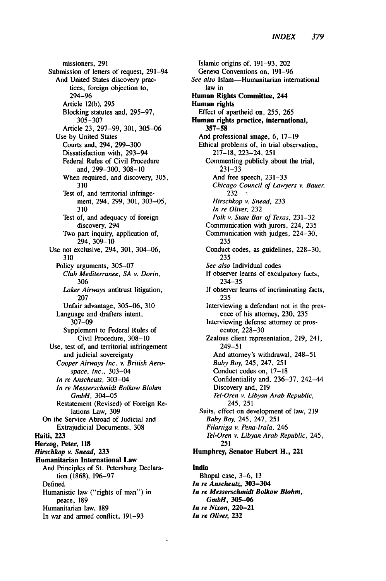missioners, **291** Submission of letters of request, 291-94 And United States discovery practices, foreign objection to, 294-96 Article 12(b), 295 Blocking statutes and, 295-97, 305-307 Article 23, 297-99, 301, 305-06 Use by United States Courts and, 294, 299-300 Dissatisfaction with, 293-94 Federal Rules of Civil Procedure and, 299-300, 308-10 When required, and discovery, 305, 310 Test of, and territorial infringement, 294, 299, 301, 303-05, 310 Test of, and adequacy of foreign discovery, 294 TWo part inquiry, application of, 294, 309-10 Use not exclusive, 294, 301, 304-06, 310 Policy arguments, 305-07 *Club Mediterranee, SA v. Dorin,* 306 *Laker Airways* antitrust litigation, 207 Unfair advantage, 305-06, 310 Language and drafters intent, 307-09 Supplement to Federal Rules of Civil Procedure, 308-10 Use, test of, and territorial infringement and judicial sovereignty *Cooper Airways Inc. v. British Aerospace, Inc.,* 303-04 *In re Anscheutz,* 303-04 *In re Messerschmidt Bolkow Blohm GmbH,* 304-05 Restatement (Revised) of Foreign Relations Law, 309 On the Service Abroad of Judicial and Extrajudicial Documents, 308 Haiti, **223** Herzog, Peter, **118** *Hirschkop v. Snead, 233* Humanitarian International Law And Principles of St. Petersburg Declaration **(1868), 196-97** Defined Humanistic law ("rights of man") in peace, **189** Humanitarian law, **189** In war and armed conflict, **191-93**

Islamic origins of, 191-93, 202 Geneva Conventions on, 191-96 *See also* Islam-Humanitarian international law in **Human Rights** Committee, 244 Human rights Effect of apartheid on, **255, 265** Human rights practice, international, **357-58** And professional image, 6, **17-19** Ethical problems of, in trial observation, **217-18,** 223-24, **251** Commenting publicly about the trial, **231-33** And free speech, **231-33** *Chicago Council of Lawyers v. Bauer,* 232 *Hirschkop v. Snead,* 233 *In re Oliver,* 232 *Polk v. State Bar of Texas,* 231-32 Communication with jurors, 224, 235 Communication with judges, 224-30, 235 Conduct codes, as guidelines, 228-30, 235 *See also* Individual codes If observer learns of exculpatory facts, 234-35 If observer learns of incriminating facts, 235 Interviewing a defendant not in the presence of his attorney, 230, 235 Interviewing defense attorney or prosecutor, 228-30 Zealous client representation, 219, 241, 249-51 And attorney's withdrawal, 248-51 *Baby Boy,* 245, 247, 251 Conduct codes on, 17-18 Confidentiality and, 236-37, 242-44 Discovery and, 219 *Tel-Oren v. Libyan Arab Republic,* 245, 251 Suits, effect on development of law, 219 *Baby Boy,* 245, 247, 251 *Filartiga v. Pena-irala,* 246 *Tel-Oren v. Libyan Arab Republic,* 245, 251 Humphrey, Senator Hubert H., 221

#### India

Bhopal case, 3-6, 13 *In re Anscheutz,* **303-304** *In re Messerschmidt Bolkow Blohm, GmbH, 305-06 In re Nixon,* **220-21** *In re* **Oliver, 232**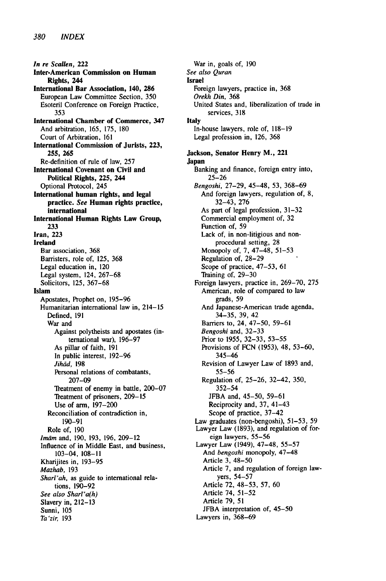In re Scallen, 222 Inter-American Commission on Human Rights, 244 International Bar Association, 140, **286** European Law Committee Section, **350** Esoteril Conference on Foreign Practice, **353** International Chamber of Commerce, 347 And arbitration, 165, **175, 180** Court of Arbitration, **161** International Commission of Jurists, **223, 255, 265** Re-definition of rule of law, **257** International Covenant on Civil and Political Rights, **225,** 244 Optional Protocol, 245 International human rights, and legal practice. *See* Human rights practice, international International Human Rights Law Group, **233** Iran, **223** Ireland Bar association, **368** Barristers, role of, **125, 368** Legal education in, 120 Legal system, 124, **267-68** Solicitors, **125, 367-68** Islam Apostates, Prophet on, 195-96 Humanitarian international law in, 214-15 Defined, 191 War and Against polytheists and apostates (international war), 196-97 As pillar of faith, 191 In public interest, 192-96 Jihād, 198 Personal relations of combatants, 207-09 Treatment of enemy in battle, 200-07 Treatment of prisoners, 209-15 Use of arm, 197-200 Reconciliation of contradiction in, 190-91 Role of, 190 *Imam* and, 190, 193, 196, 209-12 Influence of in Middle East, and business, 103-04, 108-11 Kharijites in, 193-95 *Mazhab,* 193 Shari'ah, as guide to international relations, 190-92 See *also Sharl'a(h)* Slavery in, 212-13 Sunni, 105 *Ta'zir,* 193

War in, goals of, 190 *See also Quran* Israel Foreign lawyers, practice in, **368** Orekh Din, **368** United States and, liberalization of trade in services, 318 Italy In-house lawyers, role of, 118-19 Legal profession in, 126, 368 Jackson, Senator Henry M., 221 Japan Banking and finance, foreign entry into, 25-26 Bengoshi, 27-29, 45-48, 53, 368-69 And foreign lawyers, regulation of, 8, 32-43, 276 As part of legal profession, 31-32 Commercial employment of, 32 Function of, 59 Lack of, in non-litigious and nonprocedural setting, 28 Monopoly of, 7, 47-48, 51-53 Regulation of, 28-29 Scope of practice, 47-53, 61 Training of, 29-30 Foreign lawyers, practice in, 269-70, 275 American, role of compared to law grads, 59 And Japanese-American trade agenda, 34-35, 39, 42 Barriers to, 24, 47-50, 59-61 *Bengoshi* and, 32-33 Prior to 1955, 32-33, 53-55 Provisions of FCN (1953), 48, 53-60, 345-46 Revision of Lawyer Law of 1893 and, 55-56 Regulation of, 25-26, 32-42, 350, 352-54 JFBA and, 45-50, 59-61 Reciprocity and, 37, 41-43 Scope of practice, 37-42 Law graduates (non-bengoshi), 51-53, 59 Lawyer Law (1893), and regulation of foreign lawyers, 55-56 Lawyer Law (1949), 47-48, 55-57 And *bengoshi* monopoly, 47-48 Article 3, 48-50 Article 7, and regulation of foreign lawyers, 54-57 Article 72, 48-53, 57, 60 Article 74, 51-52 Article 79, 51 JFBA interpretation of, 45-50 Lawyers in, 368-69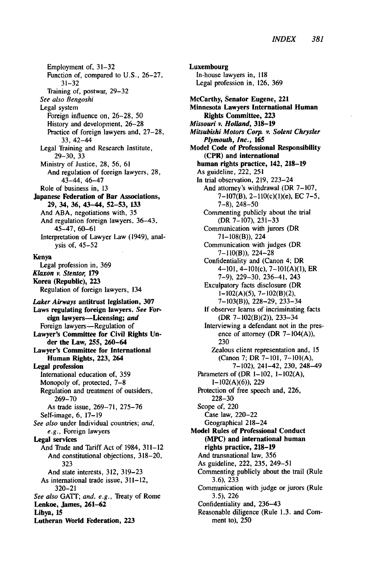Employment of, 31-32 Function of, compared to U.S., 26-27, 31-32 Training of, postwar, 29-32 *See also Bengoshi* Legal system Foreign influence on, 26-28, 50 History and development, 26-28 Practice of foreign lawyers and, 27-28, 33, 42-44 Legal Training and Research Institute, 29-30, 33 Ministry of Justice, 28, 56, 61 And regulation of foreign lawyers, 28, 43-44, 46-47 Role of business in, 13 Japanese Federation of Bar Associations, **29,** 34, **36,** 43-44, **52-53, 133** And ABA, negotiations with, 35 And regulation foreign lawyers, 36-43, 45-47, 60-61 Interpretation of Lawyer Law (1949), analysis of, 45-52 Kenya Legal profession in, 369 *Klaxon v. Stentor,* **179** Korea **(Republic), 223** Regulation of foreign lawyers, 134 *Laker Airways* **antitrust** legislation, **307 Laws** regulating foreign **lawyers.** *See* **For**eign **lawyers-Licensing;** and Foreign lawyers-Regulation of **Lawyer's Committee for** Civil Rights **Under the Law, 255,** 260-64 **Lawyer's Committee for International Human Rights, 223, 264 Legal profession** International education of, 359 Monopoly of, protected, 7-8 Regulation and treatment of outsiders, 269-70 As trade issue, 269-71, 275-76 Self-image, 6, 17-19 *See also* under Individual countries; *and, e.g.,* Foreign lawyers **Legal services** And Trade and Tariff Act of 1984, 311-12 And constitutional objections, 318-20, 323 And state interests, 312, 319-23 As international trade issue, 311-12, 320-21 *See also* GATT; *and, e.g.,* reaty of Rome **Lenkoe,** James, **261-62 Libya, 15 Lutheran World Federation, 223**

**Luxembourg** In-house lawyers in, 118 Legal profession in, 126, 369 **McCarthy,** Senator Eugene, 221 **Minnesota Lawyers International Human Rights Committee, 223** *Missouri v. Holland,* **318-19** *Mitsubishi Motors Corp. v. Solent Chrysler Plymouth, Inc.,* **165 Model Code of Professional Responsibility (CPR) and international human rights practice, 142, 218-19 As** guideline, 222, **251 In trial observation, 219,** 223-24 And attorney's withdrawal (DR **7-107, 7-107(B),** 2-110(c)(1)(e), **EC 7-5, 7-8),** 248-50 Commenting publicly about the trial (DR **7-107), 231-33** Communication with jurors (DR **71-108(B)),** 224 Communication with judges (DR **7-110(B)),** 224-28 Confidentiality and (Canon 4; DR 4-101, 4-101(c), **7-101(A)(l),** ER **7-9), 229-30,** 236-41, 243 Exculpatory facts disclosure (DR **1-102(A)(5), 7-102(B)(2), 7-103(B)), 228-29,** 233-34 **If** observer learns of incriminating facts (DR **7-102(B)(2)),** 233-34 Interviewing a defendant not in the presence of attorney (DR  $7-104(A)$ ), **230** Zealous client representation and, **15** (Canon **7;** DR **7-101, 7-101(A), 7-102),** 241-42, **230,** 248-49 Parameters of (DR 1-102, **1-102(A),** 1-102(A)(6)), 229 Protection of free speech and, 226, 228-30 Scope of, 220 Case law, 220-22 Geographical 218-24 **Model Rules of Professional Conduct (MPC) and international human rights practice, 218-19** And transnational law, 356 As guideline, 222, 235, 249-51 Commenting publicly about the trail (Rule 3.6), 233 Communication with judge or jurors (Rule 3.5), 226 Confidentiality and, 236-43 Reasonable diligence (Rule 1.3. and Comment to), 250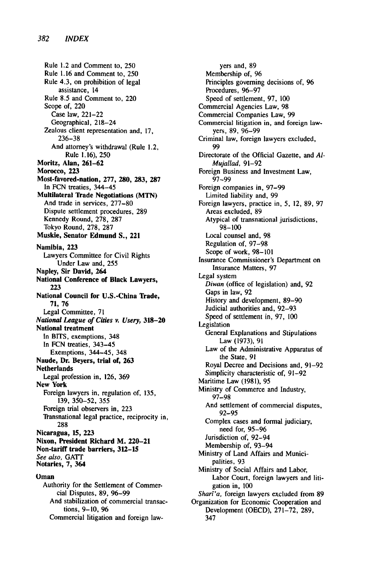Rule 1.2 and Comment to, **250** Rule 1.16 and Comment to, **250** Rule 4.3, on prohibition of legal assistance, 14 Rule 8.5 and Comment to, 220 Scope of, 220 Case law, 221-22 Geographical, 218-24 Zealous client representation and, 17, 236-38 And attorney's withdrawal (Rule 1.2, Rule 1.16), 250 **Moritz, Alan, 261-62 Morocco, 223 Most-favored-nation, 277, 280, 283, 287** In **FCN** treaties, 344-45 Multilateral 'hade Negotiations **(MTN)** And trade in services, **277-80** Dispute settlement procedures, **289** Kennedy Round, **278, 287** Tokyo Round, **278, 287** Muskie, Senator Edmund **S.,** 221 Namibia, **223** Lawyers Committee for Civil Rights Under Law and, **255** Napley, **Sir** David, 264 National Conference of Black Lawyers, **223** National Council for U.S.-China Trade, **71, 76** Legal Committee, 71 *National* League of Cities v. Usery, **318-20** National treatment In BITS, exemptions, 348 In **FCN** treaties, 343-45 Exemptions, 344-45, 348 Naude, Dr. Beyers, trial of, **263** Netherlands Legal profession in, **126, 369** New York Foreign lawyers in, regulation of, **135, 139, 350-52, 355** Foreign trial observers in, **223** Transnational legal practice, reciprocity in, 288 Nicaragua, **15, 223** Nixon, President Richard M. 220-21 Non-tariff trade barriers, **312-15** See also, **GATT** Notaries, **7, 364** Oman Authority for the Settlement of Commer-

cial Disputes, 89, 96-99 And stabilization of commercial transactions, 9-10, 96 Commercial litigation and foreign law-

yers and, 89 Membership of, 96 Principles governing decisions of, **96** Procedures, 96-97 Speed of settlement, 97, 100 Commercial Agencies Law, 98 Commercial Companies Law, 99 Commercial litigation in, and foreign lawyers, 89, 96-99 Criminal law, foreign lawyers excluded, 99 Directorate of the Official Gazette, and *Al-Mujallad,* 91-92 Foreign Business and Investment Law, 97-99 Foreign companies in, 97-99 Limited liability and, 99 Foreign lawyers, practice in, 5, 12, 89, 97 Areas excluded, 89 Atypical of transnational jurisdictions, 98-100 Local counsel and, 98 Regulation of, 97-98 Scope of work, 98-101 Insurance Commissioner's Department on Insurance Matters, 97 Legal system *Diwan* (office of legislation) and, 92 Gaps in law, 92 History and development, 89-90 Judicial authorities and, 92-93 Speed of settlement in, **97,** <sup>100</sup> Legislation General Explanations and Stipulations Law (1973), 91 Law of the Administrative Apparatus of the State, 91 Royal Decree and Decisions and, 91-92 Simplicity characteristic of, 91-92 Maritime Law (1981), 95 Ministry of Commerce and Industry, 97-98 And settlement of commercial disputes, 92-95 Complex cases and formal judiciary, need for, 95-96 Jurisdiction of, 92-94 Membership of, 93-94 Ministry of Land Affairs and Municipalities, 93 Ministry of Social Affairs and Labor, Labor Court, foreign lawyers and litigation in, 100 Shari'a, foreign lawyers excluded from 89 Organization for Economic Cooperation and Development (OECD), 271-72, 289, 347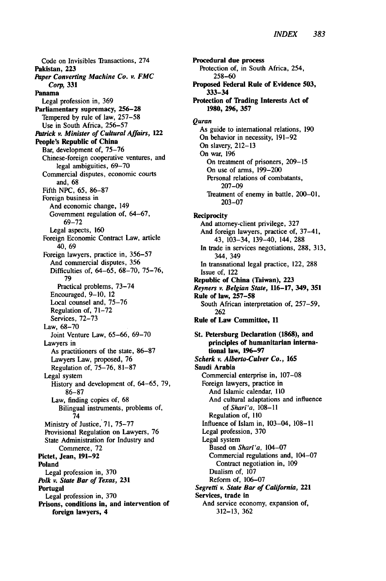Code on Invisibles Transactions, 274 Pakistan, **223** *Paper Converting Machine Co. v. FMC Corp,* **331** Panama Legal profession in, **369** Parliamentary supremacy, **256-28** Tempered **by** rule of law, **257-58** Use in South Africa, **256-57 Patrick v. Minister of Cultural Affairs,** *122* People's Republic of China Bar, development of, **75-76** Chinese-foreign cooperative ventures, and legal ambiguities, **69-70** Commercial disputes, economic courts and, **68** Fifth **NPC, 65, 86-87** Foreign business in And economic change, 149 Government regulation of, **64-67, 69-72** Legal aspects, **160** Foreign Economic Contract Law, article 40, 69 Foreign lawyers, practice in, **356-57** And commercial disputes, **356** Difficulties of, 64-65, **68-70, 75-76, 79** Practical problems, **73-74** Encouraged, **9-10,** 12 Local counsel and, **75-76** Regulation of, **71-72** Services, **72-73** Law, **68-70** Joint Venture Law, **65-66, 69-70** Lawyers in As practitioners of the state, **86-87** Lawyers Law, proposed, **76** Regulation of, **75-76, 81-87** Legal system History and development of, **64-65, 79, 86-87** Law, finding copies of, **68** Bilingual instruments, problems of, 74 Ministry of Justice, **71, 75-77** Provisional Regulation on Lawyers, **76** State Administration for Industry and Commerce, **72** Pictet, Jean, **191-92** Poland Legal profession in, **370** *Polk v. State Bar of Texas, 231* Portugal Legal profession in, **370** Prisons, **conditions in, and intervention of foreign lawyers,** 4

**Procedural due process Protection of, in South Africa, 254, 258-60** Proposed **Federal Rule of Evidence 503, 333-34** Protection of Trading Interests **Act** of **1980, 296, 357** *Quran* As guide to international relations, **190** On behavior in necessity, **191-92** On slavery, **212-13** On war, **196** On treatment of prisoners, **209-15** On use of arms, **199-200** Personal relations of combatants, **207-09** Treatment of enemy in battle, 200-01, **203-07** Reciprocity And attorney-client privilege, **327** And foreign lawyers, practice of, 37-41, 43, 103-34, 139-40, 144, **288** In trade in services negotiations, **288, 313,** 344, 349 In transnational legal practice, 122, **288** Issue of, 122 Republic of China (Taiwan), **223** *Reyners v. Belgian State,* **116-17,** 349, **351** Rule of law, **257-58** South African interpretation of, **257-59, 262** Rule of Law Committee, **11** St. Petersburg Declaration **(1868),** and principles of humanitarian international law, **196-97** *Scherk v.* **Alberto-Culver Co., 165** Saudi Arabia Commercial enterprise in, **107-08** Foreign lawyers, practice in And Islamic calendar, 110 And cultural adaptations and influence *of Sharf'a,* 108-11 Regulation of, **<sup>110</sup>** Influence of Islam in, 103-04, 108-11 Legal profession, 370 Legal system Based on *Shart'a,* 104-07 Commercial regulations and, 104-07 Contract negotiation in, 109 Dualism of, 107 Reform of, 106-07 *Segretti v. State Bar of California,* 221 Services, trade in And service economy, expansion of, **312-13, 362**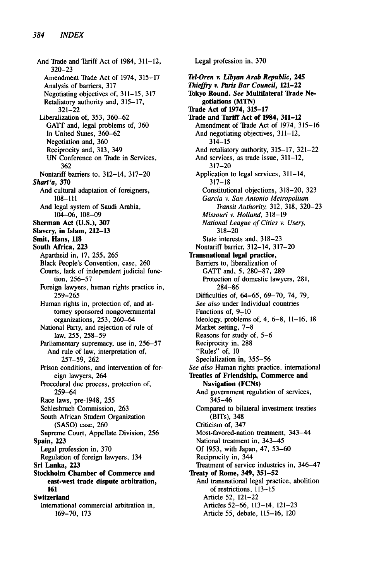And Trade and Tariff Act of 1984, **311-12, 320-23** Amendment Trade Act of 1974, **315-17** Analysis of barriers, 317 Negotiating objectives of, 311-15, 317 Retaliatory authority and, 315-17, 321-22 Liberalization of, 353, 360-62 GATT and, legal problems of, 360 In United States, 360-62 Negotiation and, 360 Reciprocity and, 313, 349 UN Conference on Trade in Services, 362 Nontariff barriers to, 312-14, 317-20 **Sharf'a, 370** And cultural adaptation of foreigners, **108-111** And legal system of Saudi Arabia, **104-06, 108-09 Sherman Act (U.S.), 307 Slavery, in Islam, 212-13** Smit, **Hans, 118** South Africa, **223** Apartheid in, **17, 255, 265** Black People's Convention, case, **260** Courts, lack of independent judicial function, **256-57** Foreign lawyers, human rights practice in, **259-265** Human rights in, protection of, and attorney sponsored nongovernmental organizations, 253, 260-64 National Party, and rejection of rule of law, 255, 258-59 Parliamentary supremacy, use in, 256-57 And rule of law, interpretation of, 257-59, 262 Prison conditions, and intervention of foreign lawyers, 264 Procedural due process, protection of, 259-64 Race laws, pre-1948, 255 Schlesbruch Commission, 263 South African Student Organization (SASO) case, 260 Supreme Court, Appellate Division, 256 Spain, **223** Legal profession in, **370** Regulation of foreign lawyers, 134 **Sri Lanka, 223 Stockholm Chamber of Commerce and east-west trade dispute arbitration, 161 Switzerland** International commercial arbitration in, **169-70, 173**

Legal profession in, **370** *Tel-Oren v. Libyan Arab Republic, 245* **Thieffry v.** *Paris* **Bar Council, 121-22 Tokyo Round. See Multilateral Trade Negotiations (MTN) Trade Act of 1974, 315-17 Trade and Tariff Act of 1984, 311-12 Amendment of Trade Act of** 1974, **315-16** And negotiating objectives, **311-12,** 314-15 And retaliatory authority, **315-17, 321-22** And services, as trade issue, **311-12, 317-20** Application to legal services, 311-14, **317-18** Constitutional objections, **318-20, 323** *Garcia v. San Antonio Metropolitan Transit Authority,* **312, 318, 320-23** *Missouri v. Holland,* **318-19** *National League of Cities v. Usery,* 318-20 State interests and, 318-23 Nontariff barrier, 312-14, 317-20 **Transnational legal practice,** Barriers **to,** liberalization **of** GATT and, 5, 280-87, 289 Protection of domestic lawyers, 281, 284-86 Difficulties of, 64-65, 69-70, 74, 79, *See also* under Individual countries Functions of, 9-10 Ideology, problems of, 4, 6-8, 11-16, 18 Market setting, 7-8 Reasons for study of, 5-6 Reciprocity in, 288 "Rules" of, 10 Specialization in, 355-56 *See also* Human rights practice, international **Treaties of Friendship, Commerce and Navigation (FCNs) And government regulation of services,** 345-46 Compared to bilateral investment treaties (BITs), 348 Criticism of, 347 Most-favored-nation treatment, 343-44 National treatment in, 343-45 **Of 1953,** with Japan, 47, **53-60** Reciprocity in, 344 Treatment of service industries in, 346-47 **Treaty of Rome, 349, 351-52** And transnational legal practice, abolition of restrictions, **113-15** Article **52,** 121-22 Articles **52-66,** 113-14, **121-23** Article **55,** debate, **115-16,** 120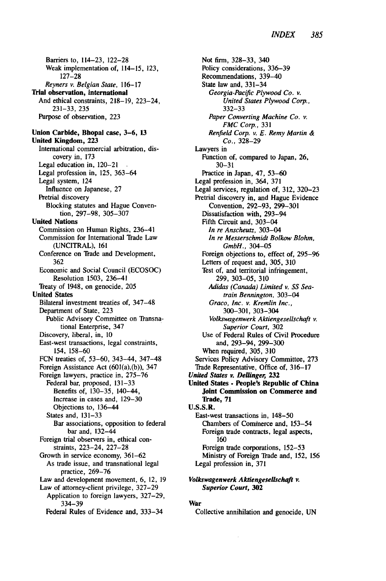Barriers to, 114-23, 122-28 Weak implementation of, 114-15, 123, 127-28 *Reyners* v. Belgian State, 116-17 **Trial observation, international** And ethical constraints, **218-19,** 223-24, **231-33, 235** Purpose of observation, 223 **Union Carbide, Bhopal case, 3-6, 13 United Kingdom, 223** International commercial arbitration, discovery in, **173** Legal education in, 120-21 Legal profession in, 125, 363-64 Legal system, 124 Influence on Japanese, 27 Pretrial discovery Blocking statutes and Hague Convention, 297-98, 305-307 **United Nations** Commission on Human Rights, 236-41 Commission for International Trade Law (UNCITRAL), 161 Conference on Trade and Development, 362 Economic and Social Council (ECOSOC) Resolution 1503, 236-41 Treaty of 1948, on genocide, 205 **United States** Bilateral investment treaties of, 347-48 Department of State, **223** Public Advisory Committee on Transnational Enterprise, 347 Discovery, liberal, in, 10 East-west transactions, legal constraints, 154, 158-60 FCN treaties of, 53-60, 343-44, 347-48 Foreign Assistance Act (601(a),(b)), 347 Foreign lawyers, practice in, 275-76 Federal bar, proposed, 131-33 Benefits of, 130-35, 140-44, Increase in cases and, 129-30 Objections to, 136-44 States and, 131-33 Bar associations, opposition to federal bar and, 132-44 Foreign trial observers in, ethical constraints, 223-24, 227-28 Growth in service economy, 361-62 As trade issue, and transnational legal practice, 269-76 Law and development movement, 6, 12, 19 Law of attorney-client privilege, 327-29 Application to foreign lawyers, 327-29, 334-39 Federal Rules of Evidence and, 333-34

Not firm, 328-33, 340 Policy considerations, **336-39** Recommendations, 339-40 State law and, 331-34 *Georgia-Pacific Plywood Co. v. United States Plywood Corp.,* 332-33 *Paper* Converting Machine Co. *v. FMC* Corp., 331 *Renfield* Corp. v. E. *Remy* Martin *& Co.,* 328-29 Lawyers in Function of, compared to Japan, 26, 30-31 Practice in Japan, 47, 53-60 Legal profession in, 364, 371 Legal services, regulation of, 312, 320-23 Pretrial discovery in, and Hague Evidence Convention, 292-93, 299-301 Dissatisfaction with, 293-94 Fifth Circuit and, 303-04 *In re Anscheutz,* 303-04 In re Messerschmidt Bolkow Blohm, *GmbH.,* 304-05 Foreign objections to, effect of, 295-96 Letters of request and, 305, 310 Test of, and territorial infringement, 299, 303-05, 310 *Adidas (Canada) Limited v. SS Seatrain* Bennington, 303-04 Graco, Inc. v. *Kremlin Inc.,* 300-301,303-304 Volkswagenwerk Aktiengesellschaft *v. Superior Court,* 302 Use of Federal Rules of Civil Procedure and, 293-94, 299-300 When required, 305, 310 Services Policy Advisory Committee, 273 Trade Representative, Office of, 316-17 *United States v. Dellinger, 232* **United States - People's Republic of China Joint Commission on Commerce and Trade, 71 U.S.S.R. East-west transactions in, 148-50** Chambers of Commerce and, 153-54 Foreign trade contracts, legal aspects, 160 Foreign trade corporations, 152-53 Ministry of Foreign Trade and, 152, 156 Legal profession in, 371

*Volkswagenwerk Aktiengesellschaft v.* Superior Court, *302*

#### **War**

**Collective** annihilation and genocide, **UN**